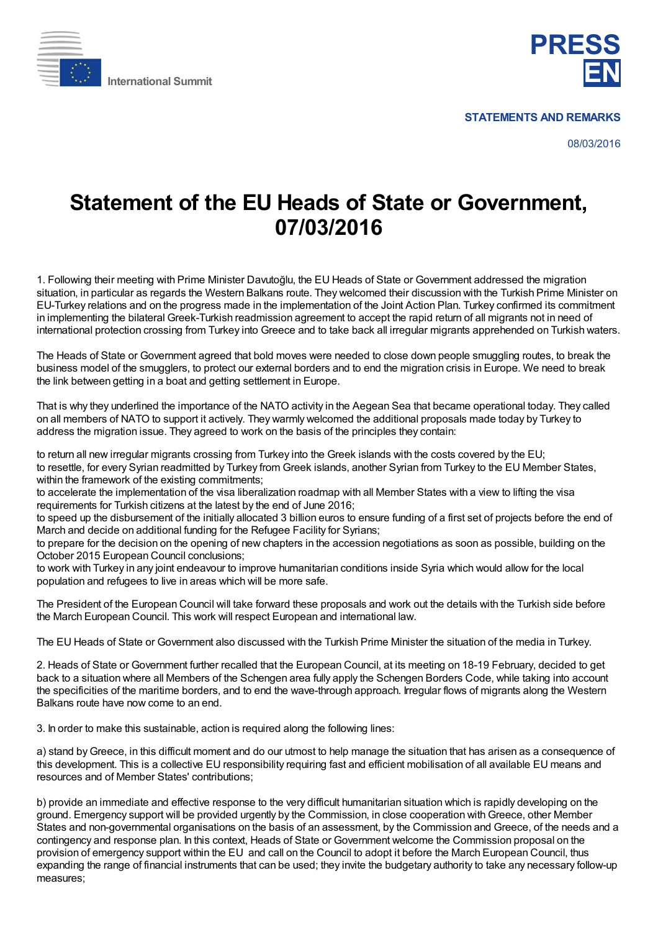



**STATEMENTS AND REMARKS**

08/03/2016

## **Statement of the EU Heads of State or Government, 07/03/2016**

1. Following their meeting with Prime Minister Davutoğlu, the EU Heads of State or Government addressed the migration situation, in particular as regards the Western Balkans route. They welcomed their discussion with the Turkish Prime Minister on EU-Turkey relations and on the progress made in the implementation of the Joint Action Plan. Turkey confirmed its commitment in implementing the bilateral Greek-Turkish readmission agreement to accept the rapid return of all migrants not in need of international protection crossing from Turkey into Greece and to take back all irregular migrants apprehended on Turkish waters.

The Heads of State or Government agreed that bold moves were needed to close down people smuggling routes, to break the business model of the smugglers, to protect our external borders and to end the migration crisis in Europe. We need to break the link between getting in a boat and getting settlement in Europe.

That is why they underlined the importance of the NATO activity in the Aegean Sea that became operational today. They called on all members of NATO to support it actively. They warmly welcomed the additional proposals made today by Turkey to address the migration issue. They agreed to work on the basis of the principles they contain:

to return all new irregular migrants crossing from Turkey into the Greek islands with the costs covered by the EU; to resettle, for every Syrian readmitted by Turkey from Greek islands, another Syrian from Turkey to the EU Member States, within the framework of the existing commitments;

to accelerate the implementation of the visa liberalization roadmap with all Member States with a view to lifting the visa requirements for Turkish citizens at the latest by the end of June 2016;

to speed up the disbursement of the initially allocated 3 billion euros to ensure funding of a first set of projects before the end of March and decide on additional funding for the Refugee Facility for Syrians;

to prepare for the decision on the opening of new chapters in the accession negotiations as soon as possible, building on the October 2015 European Council conclusions;

to work with Turkey in any joint endeavour to improve humanitarian conditions inside Syria which would allow for the local population and refugees to live in areas which will be more safe.

The President of the European Council will take forward these proposals and work out the details with the Turkish side before the March European Council. This work will respect European and international law.

The EU Heads of State or Government also discussed with the Turkish Prime Minister the situation of the media in Turkey.

2. Heads of State or Government further recalled that the European Council, at its meeting on 18-19 February, decided to get back to a situation where all Members of the Schengen area fully apply the Schengen Borders Code, while taking into account the specificities of the maritime borders, and to end the wave-through approach. Irregular flows of migrants along the Western Balkans route have now come to an end.

3. In order to make this sustainable, action is required along the following lines:

a) stand byGreece, in this difficult moment and do our utmost to help manage the situation that has arisen as a consequence of this development. This is a collective EU responsibility requiring fast and efficient mobilisation of all available EU means and resources and of Member States' contributions;

b) provide an immediate and effective response to the very difficult humanitarian situation which is rapidly developing on the ground. Emergency support will be provided urgently by the Commission, in close cooperation withGreece, other Member States and non-governmental organisations on the basis of an assessment, by the Commission and Greece, of the needs and a contingency and response plan. In this context, Heads of State or Government welcome the Commission proposal on the provision of emergency support within the EU and call on the Council to adopt it before the March European Council, thus expanding the range of financial instruments that can be used; they invite the budgetary authority to take any necessary follow-up measures;